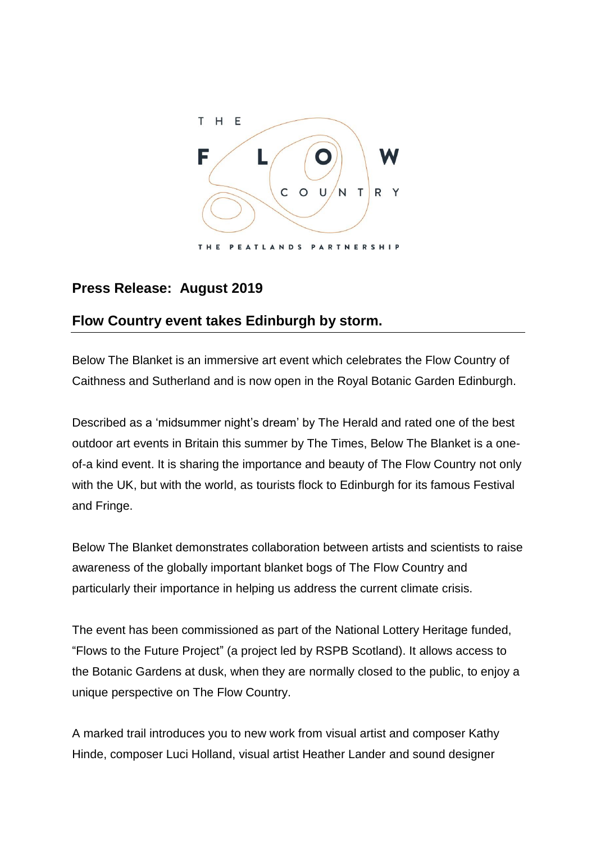

## **Press Release: August 2019**

# **Flow Country event takes Edinburgh by storm.**

Below The Blanket is an immersive art event which celebrates the Flow Country of Caithness and Sutherland and is now open in the Royal Botanic Garden Edinburgh.

Described as a 'midsummer night's dream' by The Herald and rated one of the best outdoor art events in Britain this summer by The Times, Below The Blanket is a oneof-a kind event. It is sharing the importance and beauty of The Flow Country not only with the UK, but with the world, as tourists flock to Edinburgh for its famous Festival and Fringe.

Below The Blanket demonstrates collaboration between artists and scientists to raise awareness of the globally important blanket bogs of The Flow Country and particularly their importance in helping us address the current climate crisis.

The event has been commissioned as part of the National Lottery Heritage funded, "Flows to the Future Project" (a project led by RSPB Scotland). It allows access to the Botanic Gardens at dusk, when they are normally closed to the public, to enjoy a unique perspective on The Flow Country.

A marked trail introduces you to new work from visual artist and composer Kathy Hinde, composer Luci Holland, visual artist Heather Lander and sound designer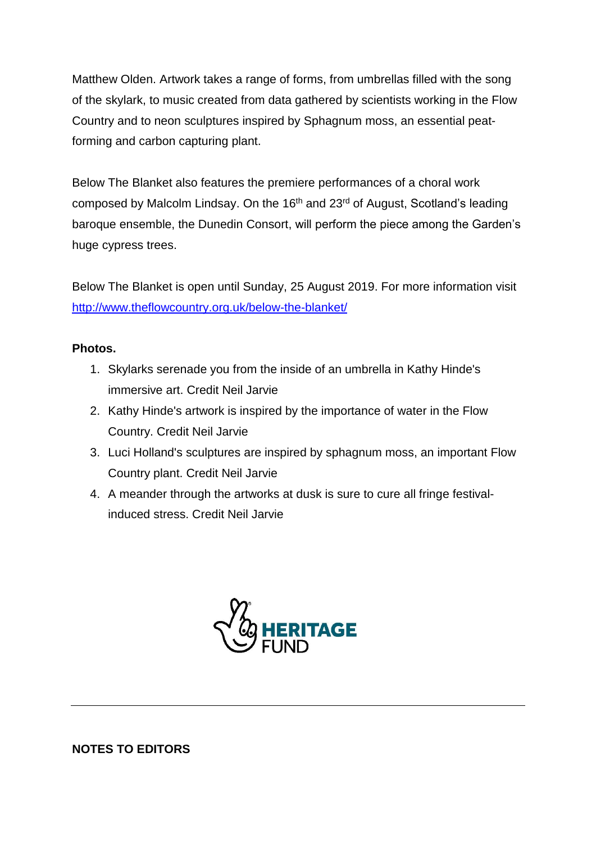Matthew Olden. Artwork takes a range of forms, from umbrellas filled with the song of the skylark, to music created from data gathered by scientists working in the Flow Country and to neon sculptures inspired by Sphagnum moss, an essential peatforming and carbon capturing plant.

Below The Blanket also features the premiere performances of a choral work composed by Malcolm Lindsay. On the 16th and 23rd of August, Scotland's leading baroque ensemble, the Dunedin Consort, will perform the piece among the Garden's huge cypress trees.

Below The Blanket is open until Sunday, 25 August 2019. For more information visit <http://www.theflowcountry.org.uk/below-the-blanket/>

## **Photos.**

- 1. Skylarks serenade you from the inside of an umbrella in Kathy Hinde's immersive art. Credit Neil Jarvie
- 2. Kathy Hinde's artwork is inspired by the importance of water in the Flow Country. Credit Neil Jarvie
- 3. Luci Holland's sculptures are inspired by sphagnum moss, an important Flow Country plant. Credit Neil Jarvie
- 4. A meander through the artworks at dusk is sure to cure all fringe festivalinduced stress. Credit Neil Jarvie



### **NOTES TO EDITORS**